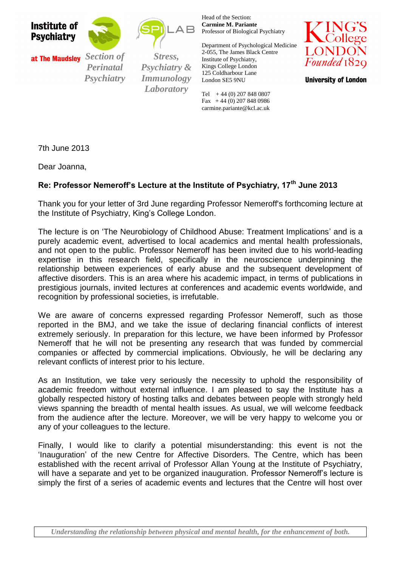



*Psychiatry*

 *Section of Perinatal* 

*Section of Stress, Psychiatry* & <sup>*Psychiatry* & <sup>*Psychiatry* & *Psychiatry* & *Psychiatry* & *Psychiatry* & *Psychiatry* & *Psychiatry* & *Psychiatry* & *Psychiatry* & *Psychiatry* & *Psychiatry* & *Psychiatry* & *Psychiatry* & *Psychiatr</sup></sup> & Immunology Stress, Psychiatry Laboratory*

 $\mathsf A\mathsf B$ 

Head of the Section: **Carmine M. Pariante** Professor of Biological Psychiatry

Department of Psychological Medicine 2-055, The James Black Centre Institute of Psychiatry, Kings College London 125 Coldharbour Lane London SE5 9NU

Tel  $+44$  (0) 207 848 0807 Fax  $+44$  (0) 207 848 0986 carmine.pariante@kcl.ac.uk



**University of London** 

7th June 2013

Dear Joanna,

## **Re: Professor Nemeroff's Lecture at the Institute of Psychiatry, 17th June 2013**

Thank you for your letter of 3rd June regarding Professor Nemeroff's forthcoming lecture at the Institute of Psychiatry, King's College London.

The lecture is on 'The Neurobiology of Childhood Abuse: Treatment Implications' and is a purely academic event, advertised to local academics and mental health professionals, and not open to the public. Professor Nemeroff has been invited due to his world-leading expertise in this research field, specifically in the neuroscience underpinning the relationship between experiences of early abuse and the subsequent development of affective disorders. This is an area where his academic impact, in terms of publications in prestigious journals, invited lectures at conferences and academic events worldwide, and recognition by professional societies, is irrefutable.

We are aware of concerns expressed regarding Professor Nemeroff, such as those reported in the BMJ, and we take the issue of declaring financial conflicts of interest extremely seriously. In preparation for this lecture, we have been informed by Professor Nemeroff that he will not be presenting any research that was funded by commercial companies or affected by commercial implications. Obviously, he will be declaring any relevant conflicts of interest prior to his lecture.

As an Institution, we take very seriously the necessity to uphold the responsibility of academic freedom without external influence. I am pleased to say the Institute has a globally respected history of hosting talks and debates between people with strongly held views spanning the breadth of mental health issues. As usual, we will welcome feedback from the audience after the lecture. Moreover, we will be very happy to welcome you or any of your colleagues to the lecture.

Finally, I would like to clarify a potential misunderstanding: this event is not the 'Inauguration' of the new Centre for Affective Disorders. The Centre, which has been established with the recent arrival of Professor Allan Young at the Institute of Psychiatry, will have a separate and yet to be organized inauguration. Professor Nemeroff's lecture is simply the first of a series of academic events and lectures that the Centre will host over